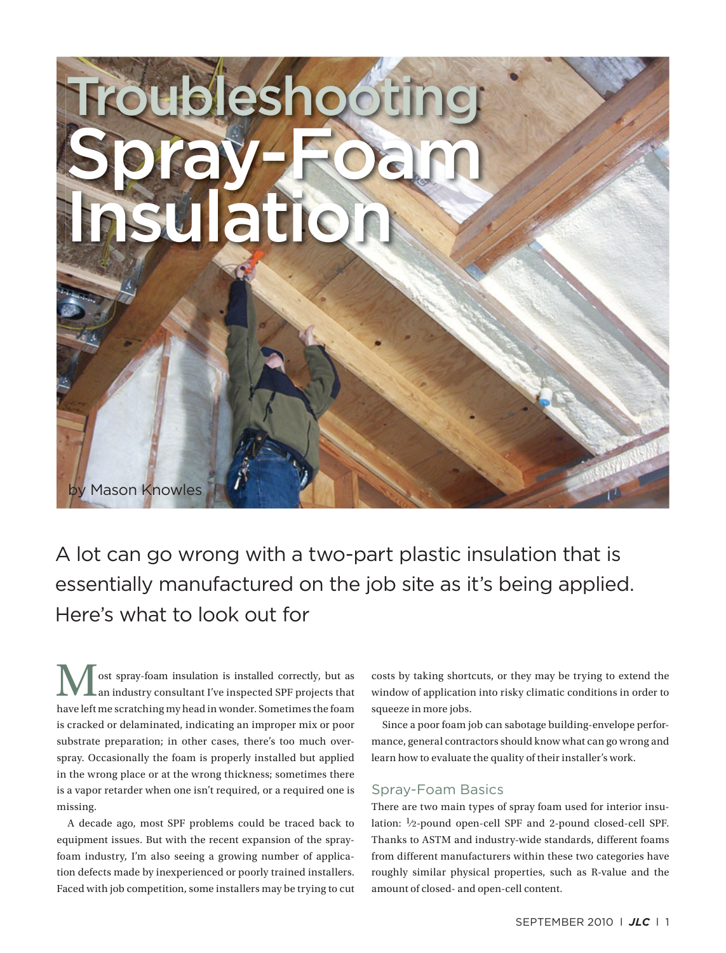# **Troubleshooting** Spray-Foam Insulation by Mason Knowles

A lot can go wrong with a two-part plastic insulation that is essentially manufactured on the job site as it's being applied. Here's what to look out for

ost spray-foam insulation is installed correctly, but as an industry consultant I've inspected SPF projects that have left me scratching my head in wonder. Sometimes the foam is cracked or delaminated, indicating an improper mix or poor substrate preparation; in other cases, there's too much overspray. Occasionally the foam is properly installed but applied in the wrong place or at the wrong thickness; sometimes there is a vapor retarder when one isn't required, or a required one is missing.

A decade ago, most SPF problems could be traced back to equipment issues. But with the recent expansion of the sprayfoam industry, I'm also seeing a growing number of application defects made by inexperienced or poorly trained installers. Faced with job competition, some installers may be trying to cut costs by taking shortcuts, or they may be trying to extend the window of application into risky climatic conditions in order to squeeze in more jobs.

Since a poor foam job can sabotage building-envelope performance, general contractors should know what can go wrong and learn how to evaluate the quality of their installer's work.

## Spray-Foam Basics

There are two main types of spray foam used for interior insulation: 1⁄2-pound open-cell SPF and 2-pound closed-cell SPF. Thanks to ASTM and industry-wide standards, different foams from different manufacturers within these two categories have roughly similar physical properties, such as R-value and the amount of closed- and open-cell content.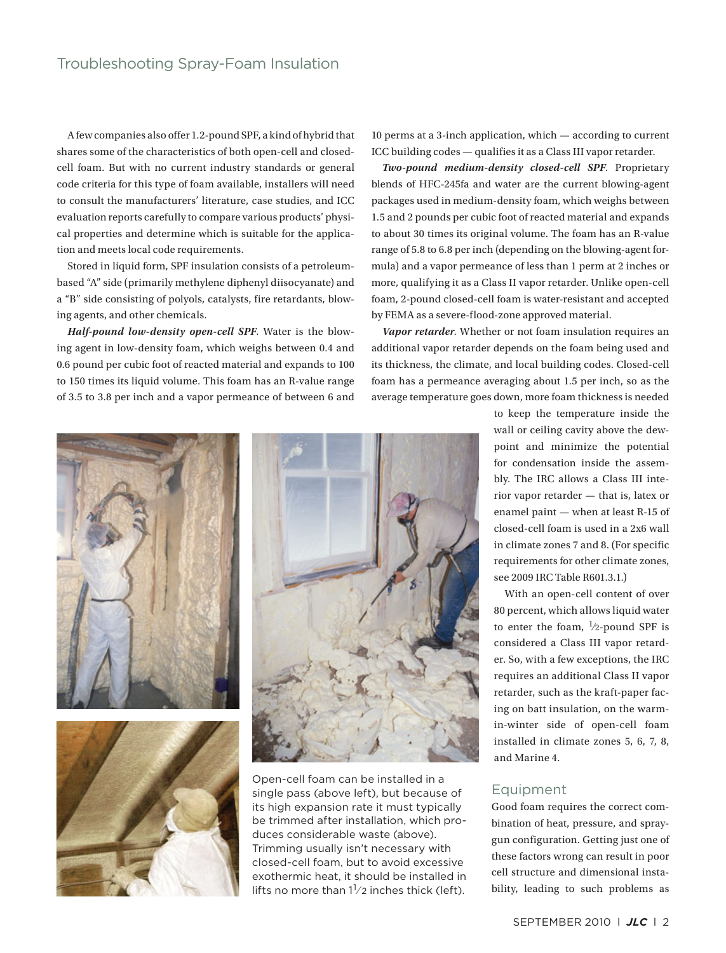A few companies also offer 1.2-pound SPF, a kind of hybrid that shares some of the characteristics of both open-cell and closedcell foam. But with no current industry standards or general code criteria for this type of foam available, installers will need to consult the manufacturers' literature, case studies, and ICC evaluation reports carefully to compare various products' physical properties and determine which is suitable for the application and meets local code requirements.

Stored in liquid form, SPF insulation consists of a petroleumbased "A" side (primarily methylene diphenyl diisocyanate) and a "B" side consisting of polyols, catalysts, fire retardants, blowing agents, and other chemicals.

*Half-pound low-density open-cell SPF*. Water is the blowing agent in low-density foam, which weighs between 0.4 and 0.6 pound per cubic foot of reacted material and expands to 100 to 150 times its liquid volume. This foam has an R-value range of 3.5 to 3.8 per inch and a vapor permeance of between 6 and 10 perms at a 3-inch application, which — according to current ICC building codes — qualifies it as a Class III vapor retarder.

*Two-pound medium-density closed-cell SPF*. Proprietary blends of HFC-245fa and water are the current blowing-agent packages used in medium-density foam, which weighs between 1.5 and 2 pounds per cubic foot of reacted material and expands to about 30 times its original volume. The foam has an R-value range of 5.8 to 6.8 per inch (depending on the blowing-agent formula) and a vapor permeance of less than 1 perm at 2 inches or more, qualifying it as a Class II vapor retarder. Unlike open-cell foam, 2-pound closed-cell foam is water-resistant and accepted by FEMA as a severe-flood-zone approved material.

*Vapor retarder*. Whether or not foam insulation requires an additional vapor retarder depends on the foam being used and its thickness, the climate, and local building codes. Closed-cell foam has a permeance averaging about 1.5 per inch, so as the average temperature goes down, more foam thickness is needed







Open-cell foam can be installed in a single pass (above left), but because of its high expansion rate it must typically be trimmed after installation, which produces considerable waste (above). Trimming usually isn't necessary with closed-cell foam, but to avoid excessive exothermic heat, it should be installed in lifts no more than  $1\frac{1}{2}$  inches thick (left).

to keep the temperature inside the wall or ceiling cavity above the dewpoint and minimize the potential for condensation inside the assembly. The IRC allows a Class III interior vapor retarder — that is, latex or enamel paint — when at least R-15 of closed-cell foam is used in a 2x6 wall in climate zones 7 and 8. (For specific requirements for other climate zones, see 2009 IRC Table R601.3.1.)

With an open-cell content of over 80 percent, which allows liquid water to enter the foam,  $\frac{1}{2}$ -pound SPF is considered a Class III vapor retarder. So, with a few exceptions, the IRC requires an additional Class II vapor retarder, such as the kraft-paper facing on batt insulation, on the warmin-winter side of open-cell foam installed in climate zones 5, 6, 7, 8, and Marine 4.

## Equipment

Good foam requires the correct combination of heat, pressure, and spraygun configuration. Getting just one of these factors wrong can result in poor cell structure and dimensional instability, leading to such problems as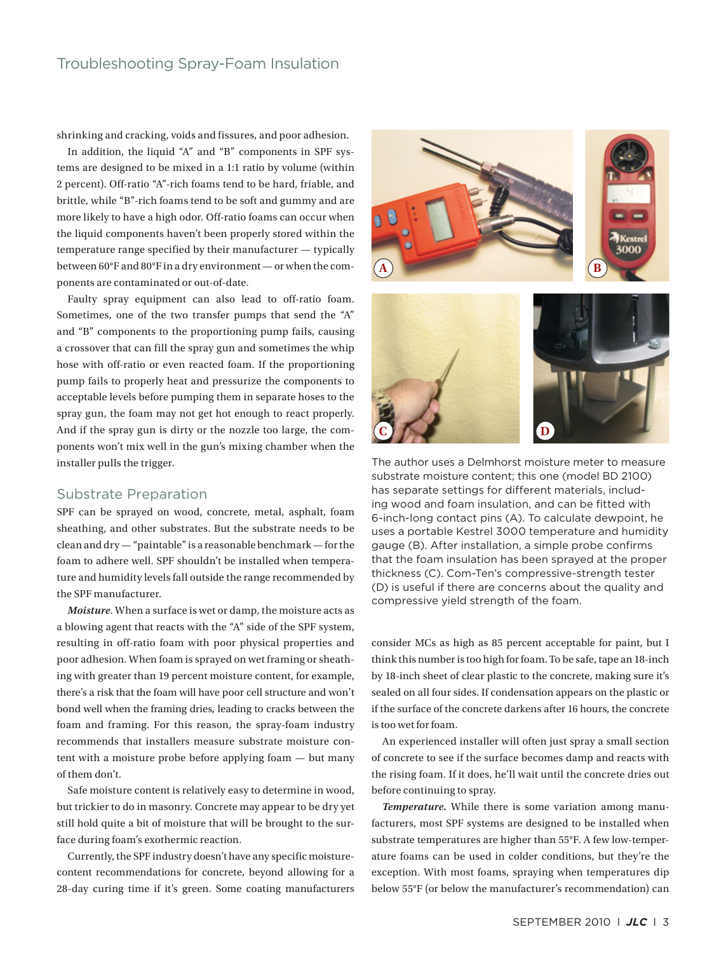shrinking and cracking, voids and fissures, and poor adhesion.

In addition, the liquid "A" and "B" components in SPF systems are designed to be mixed in a 1:1 ratio by volume (within 2 percent). Off-ratio "A"-rich foams tend to be hard, friable, and brittle, while "B"-rich foams tend to be soft and gummy and are more likely to have a high odor. Off-ratio foams can occur when the liquid components haven't been properly stored within the temperature range specified by their manufacturer — typically between 60°F and 80°F in a dry environment — or when the components are contaminated or out-of-date.

Faulty spray equipment can also lead to off-ratio foam. Sometimes, one of the two transfer pumps that send the "A" and "B" components to the proportioning pump fails, causing a crossover that can fill the spray gun and sometimes the whip hose with off-ratio or even reacted foam. If the proportioning pump fails to properly heat and pressurize the components to acceptable levels before pumping them in separate hoses to the spray gun, the foam may not get hot enough to react properly. And if the spray gun is dirty or the nozzle too large, the components won't mix well in the gun's mixing chamber when the installer pulls the trigger.

## Substrate Preparation

SPF can be sprayed on wood, concrete, metal, asphalt, foam sheathing, and other substrates. But the substrate needs to be clean and dry — "paintable" is a reasonable benchmark — for the foam to adhere well. SPF shouldn't be installed when temperature and humidity levels fall outside the range recommended by the SPF manufacturer.

*Moisture*. When a surface is wet or damp, the moisture acts as a blowing agent that reacts with the "A" side of the SPF system, resulting in off-ratio foam with poor physical properties and poor adhesion. When foam is sprayed on wet framing or sheathing with greater than 19 percent moisture content, for example, there's a risk that the foam will have poor cell structure and won't bond well when the framing dries, leading to cracks between the foam and framing. For this reason, the spray-foam industry recommends that installers measure substrate moisture content with a moisture probe before applying foam — but many of them don't.

Safe moisture content is relatively easy to determine in wood, but trickier to do in masonry. Concrete may appear to be dry yet still hold quite a bit of moisture that will be brought to the surface during foam's exothermic reaction.

Currently, the SPF industry doesn't have any specific moisturecontent recommendations for concrete, beyond allowing for a 28-day curing time if it's green. Some coating manufacturers



The author uses a Delmhorst moisture meter to measure substrate moisture content; this one (model BD 2100) has separate settings for different materials, including wood and foam insulation, and can be fitted with 6-inch-long contact pins (A). To calculate dewpoint, he uses a portable Kestrel 3000 temperature and humidity gauge (B). After installation, a simple probe confirms that the foam insulation has been sprayed at the proper thickness (C). Com-Ten's compressive-strength tester (D) is useful if there are concerns about the quality and compressive yield strength of the foam.

consider MCs as high as 85 percent acceptable for paint, but I think this number is too high for foam. To be safe, tape an 18-inch by 18-inch sheet of clear plastic to the concrete, making sure it's sealed on all four sides. If condensation appears on the plastic or if the surface of the concrete darkens after 16 hours, the concrete is too wet for foam.

An experienced installer will often just spray a small section of concrete to see if the surface becomes damp and reacts with the rising foam. If it does, he'll wait until the concrete dries out before continuing to spray.

*Temperature.* While there is some variation among manufacturers, most SPF systems are designed to be installed when substrate temperatures are higher than 55°F. A few low-temperature foams can be used in colder conditions, but they're the exception. With most foams, spraying when temperatures dip below 55°F (or below the manufacturer's recommendation) can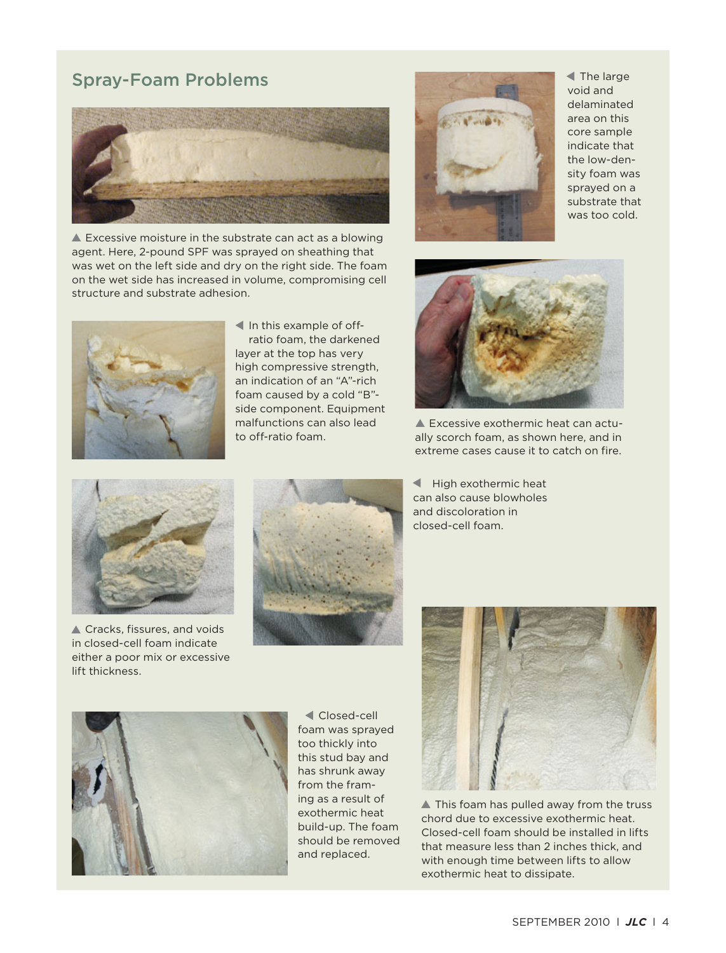# Spray-Foam Problems



▲ Excessive moisture in the substrate can act as a blowing agent. Here, 2-pound SPF was sprayed on sheathing that was wet on the left side and dry on the right side. The foam on the wet side has increased in volume, compromising cell structure and substrate adhesion.



The large ▲void and delaminated area on this core sample indicate that the low-density foam was sprayed on a substrate that was too cold.



In this example of offratio foam, the darkened layer at the top has very high compressive strength, an indication of an "A"-rich foam caused by a cold "B" side component. Equipment malfunctions can also lead to off-ratio foam.



▲ Excessive exothermic heat can actually scorch foam, as shown here, and in extreme cases cause it to catch on fire.



▲ Cracks, fissures, and voids in closed-cell foam indicate either a poor mix or excessive lift thickness.



High exothermic heat can also cause blowholes and discoloration in closed-cell foam.



Closed-cell ▲foam was sprayed too thickly into this stud bay and has shrunk away from the framing as a result of exothermic heat build-up. The foam should be removed and replaced.



▲ This foam has pulled away from the truss chord due to excessive exothermic heat. Closed-cell foam should be installed in lifts that measure less than 2 inches thick, and with enough time between lifts to allow exothermic heat to dissipate.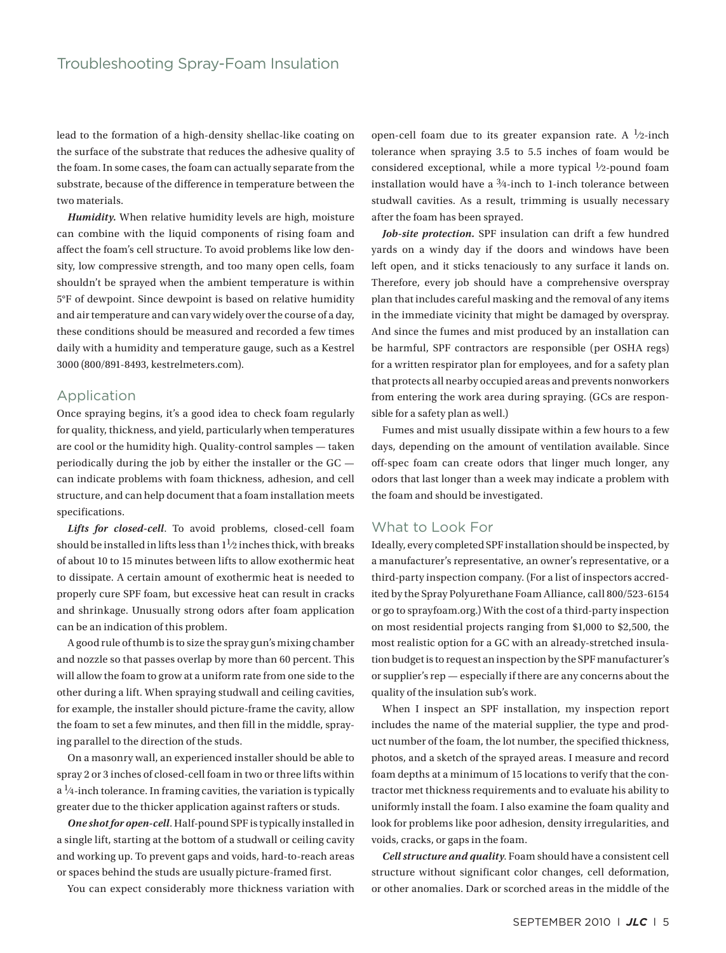lead to the formation of a high-density shellac-like coating on the surface of the substrate that reduces the adhesive quality of the foam. In some cases, the foam can actually separate from the substrate, because of the difference in temperature between the two materials.

*Humidity.* When relative humidity levels are high, moisture can combine with the liquid components of rising foam and affect the foam's cell structure. To avoid problems like low density, low compressive strength, and too many open cells, foam shouldn't be sprayed when the ambient temperature is within 5°F of dewpoint. Since dewpoint is based on relative humidity and air temperature and can vary widely over the course of a day, these conditions should be measured and recorded a few times daily with a humidity and temperature gauge, such as a Kestrel 3000 (800/891-8493, kestrelmeters.com).

## Application

Once spraying begins, it's a good idea to check foam regularly for quality, thickness, and yield, particularly when temperatures are cool or the humidity high. Quality-control samples — taken periodically during the job by either the installer or the GC can indicate problems with foam thickness, adhesion, and cell structure, and can help document that a foam installation meets specifications.

*Lifts for closed-cell*. To avoid problems, closed-cell foam should be installed in lifts less than  $1\frac{1}{2}$  inches thick, with breaks of about 10 to 15 minutes between lifts to allow exothermic heat to dissipate. A certain amount of exothermic heat is needed to properly cure SPF foam, but excessive heat can result in cracks and shrinkage. Unusually strong odors after foam application can be an indication of this problem.

A good rule of thumb is to size the spray gun's mixing chamber and nozzle so that passes overlap by more than 60 percent. This will allow the foam to grow at a uniform rate from one side to the other during a lift. When spraying studwall and ceiling cavities, for example, the installer should picture-frame the cavity, allow the foam to set a few minutes, and then fill in the middle, spraying parallel to the direction of the studs.

On a masonry wall, an experienced installer should be able to spray 2 or 3 inches of closed-cell foam in two or three lifts within  $a^{1/4}$ -inch tolerance. In framing cavities, the variation is typically greater due to the thicker application against rafters or studs.

*One shot for open-cell*. Half-pound SPF is typically installed in a single lift, starting at the bottom of a studwall or ceiling cavity and working up. To prevent gaps and voids, hard-to-reach areas or spaces behind the studs are usually picture-framed first.

You can expect considerably more thickness variation with

open-cell foam due to its greater expansion rate. A  $\frac{1}{2}$ -inch tolerance when spraying 3.5 to 5.5 inches of foam would be considered exceptional, while a more typical  $\frac{1}{2}$ -pound foam installation would have a  $3/4$ -inch to 1-inch tolerance between studwall cavities. As a result, trimming is usually necessary after the foam has been sprayed.

*Job-site protection.* SPF insulation can drift a few hundred yards on a windy day if the doors and windows have been left open, and it sticks tenaciously to any surface it lands on. Therefore, every job should have a comprehensive overspray plan that includes careful masking and the removal of any items in the immediate vicinity that might be damaged by overspray. And since the fumes and mist produced by an installation can be harmful, SPF contractors are responsible (per OSHA regs) for a written respirator plan for employees, and for a safety plan that protects all nearby occupied areas and prevents nonworkers from entering the work area during spraying. (GCs are responsible for a safety plan as well.)

Fumes and mist usually dissipate within a few hours to a few days, depending on the amount of ventilation available. Since off-spec foam can create odors that linger much longer, any odors that last longer than a week may indicate a problem with the foam and should be investigated.

# What to Look For

Ideally, every completed SPF installation should be inspected, by a manufacturer's representative, an owner's representative, or a third-party inspection company. (For a list of inspectors accredited by the Spray Polyurethane Foam Alliance, call 800/523-6154 or go to sprayfoam.org.) With the cost of a third-party inspection on most residential projects ranging from \$1,000 to \$2,500, the most realistic option for a GC with an already-stretched insulation budget is to request an inspection by the SPF manufacturer's or supplier's rep — especially if there are any concerns about the quality of the insulation sub's work.

When I inspect an SPF installation, my inspection report includes the name of the material supplier, the type and product number of the foam, the lot number, the specified thickness, photos, and a sketch of the sprayed areas. I measure and record foam depths at a minimum of 15 locations to verify that the contractor met thickness requirements and to evaluate his ability to uniformly install the foam. I also examine the foam quality and look for problems like poor adhesion, density irregularities, and voids, cracks, or gaps in the foam.

*Cell structure and quality*. Foam should have a consistent cell structure without significant color changes, cell deformation, or other anomalies. Dark or scorched areas in the middle of the